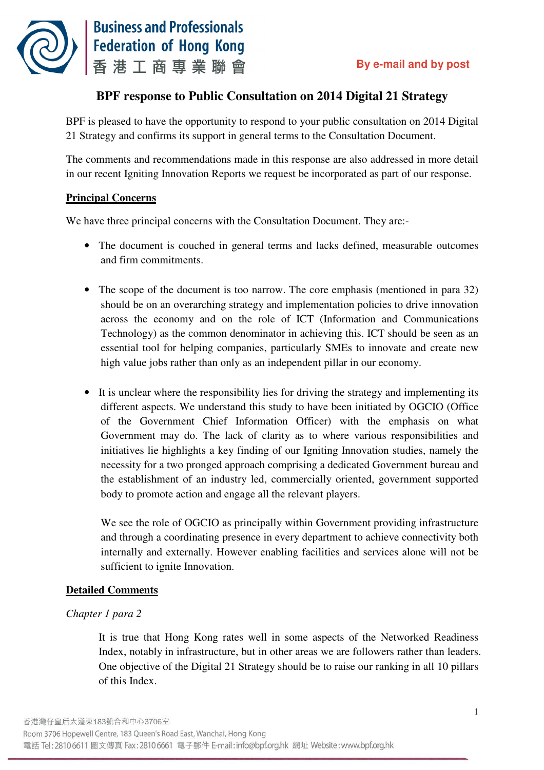

# **BPF response to Public Consultation on 2014 Digital 21 Strategy**

 BPF is pleased to have the opportunity to respond to your public consultation on 2014 Digital 21 Strategy and confirms its support in general terms to the Consultation Document.

 The comments and recommendations made in this response are also addressed in more detail in our recent Igniting Innovation Reports we request be incorporated as part of our response.

# **Principal Concerns**

We have three principal concerns with the Consultation Document. They are:

- The document is couched in general terms and lacks defined, measurable outcomes and firm commitments.
- The scope of the document is too narrow. The core emphasis (mentioned in para 32) should be on an overarching strategy and implementation policies to drive innovation across the economy and on the role of ICT (Information and Communications Technology) as the common denominator in achieving this. ICT should be seen as an essential tool for helping companies, particularly SMEs to innovate and create new high value jobs rather than only as an independent pillar in our economy.
- It is unclear where the responsibility lies for driving the strategy and implementing its different aspects. We understand this study to have been initiated by OGCIO (Office of the Government Chief Information Officer) with the emphasis on what Government may do. The lack of clarity as to where various responsibilities and initiatives lie highlights a key finding of our Igniting Innovation studies, namely the necessity for a two pronged approach comprising a dedicated Government bureau and the establishment of an industry led, commercially oriented, government supported body to promote action and engage all the relevant players.

 We see the role of OGCIO as principally within Government providing infrastructure and through a coordinating presence in every department to achieve connectivity both internally and externally. However enabling facilities and services alone will not be sufficient to ignite Innovation.

# **Detailed Comments**

# *Chapter 1 para 2*

 It is true that Hong Kong rates well in some aspects of the Networked Readiness Index, notably in infrastructure, but in other areas we are followers rather than leaders. One objective of the Digital 21 Strategy should be to raise our ranking in all 10 pillars of this Index.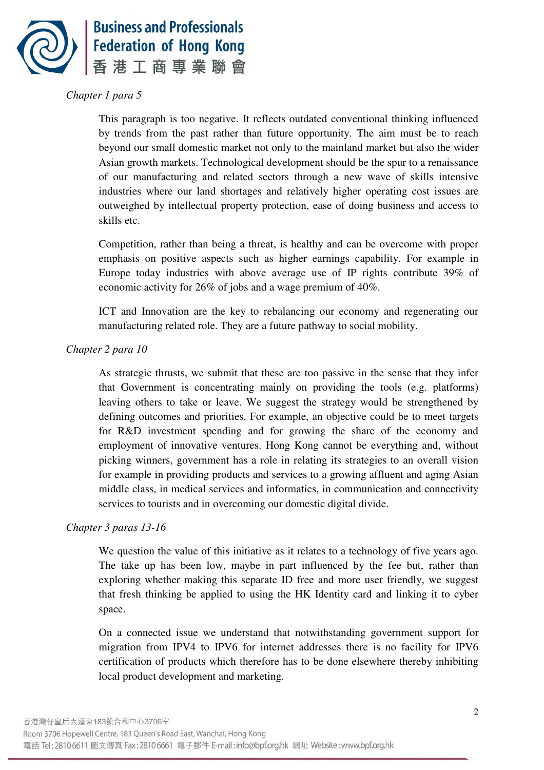

# *Chapter 1 para 5*

 This paragraph is too negative. It reflects outdated conventional thinking influenced by trends from the past rather than future opportunity. The aim must be to reach beyond our small domestic market not only to the mainland market but also the wider Asian growth markets. Technological development should be the spur to a renaissance of our manufacturing and related sectors through a new wave of skills intensive industries where our land shortages and relatively higher operating cost issues are outweighed by intellectual property protection, ease of doing business and access to skills etc.

 Competition, rather than being a threat, is healthy and can be overcome with proper emphasis on positive aspects such as higher earnings capability. For example in Europe today industries with above average use of IP rights contribute 39% of economic activity for 26% of jobs and a wage premium of 40%.

 ICT and Innovation are the key to rebalancing our economy and regenerating our manufacturing related role. They are a future pathway to social mobility.

#### *Chapter 2 para 10*

 As strategic thrusts, we submit that these are too passive in the sense that they infer that Government is concentrating mainly on providing the tools (e.g. platforms) leaving others to take or leave. We suggest the strategy would be strengthened by defining outcomes and priorities. For example, an objective could be to meet targets for R&D investment spending and for growing the share of the economy and employment of innovative ventures. Hong Kong cannot be everything and, without picking winners, government has a role in relating its strategies to an overall vision for example in providing products and services to a growing affluent and aging Asian middle class, in medical services and informatics, in communication and connectivity services to tourists and in overcoming our domestic digital divide.

# *Chapter 3 paras 13-16*

 We question the value of this initiative as it relates to a technology of five years ago. The take up has been low, maybe in part influenced by the fee but, rather than exploring whether making this separate ID free and more user friendly, we suggest that fresh thinking be applied to using the HK Identity card and linking it to cyber space.

 On a connected issue we understand that notwithstanding government support for migration from IPV4 to IPV6 for internet addresses there is no facility for IPV6 certification of products which therefore has to be done elsewhere thereby inhibiting local product development and marketing.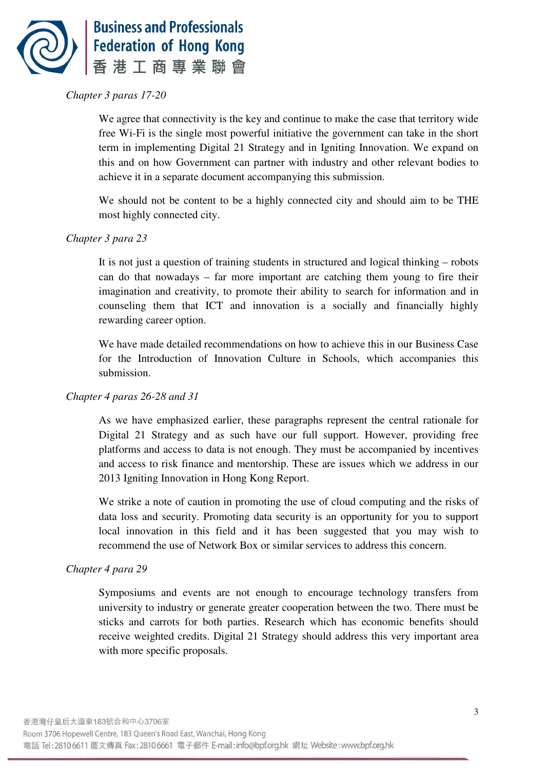

# *Chapter 3 paras 17-20*

 We agree that connectivity is the key and continue to make the case that territory wide free Wi-Fi is the single most powerful initiative the government can take in the short term in implementing Digital 21 Strategy and in Igniting Innovation. We expand on this and on how Government can partner with industry and other relevant bodies to achieve it in a separate document accompanying this submission.

 We should not be content to be a highly connected city and should aim to be THE most highly connected city.

# *Chapter 3 para 23*

 It is not just a question of training students in structured and logical thinking – robots can do that nowadays – far more important are catching them young to fire their imagination and creativity, to promote their ability to search for information and in counseling them that ICT and innovation is a socially and financially highly rewarding career option.

 We have made detailed recommendations on how to achieve this in our Business Case for the Introduction of Innovation Culture in Schools, which accompanies this submission.

#### *Chapter 4 paras 26-28 and 31*

 As we have emphasized earlier, these paragraphs represent the central rationale for Digital 21 Strategy and as such have our full support. However, providing free platforms and access to data is not enough. They must be accompanied by incentives and access to risk finance and mentorship. These are issues which we address in our 2013 Igniting Innovation in Hong Kong Report.

 We strike a note of caution in promoting the use of cloud computing and the risks of data loss and security. Promoting data security is an opportunity for you to support local innovation in this field and it has been suggested that you may wish to recommend the use of Network Box or similar services to address this concern.

#### *Chapter 4 para 29*

 Symposiums and events are not enough to encourage technology transfers from university to industry or generate greater cooperation between the two. There must be sticks and carrots for both parties. Research which has economic benefits should receive weighted credits. Digital 21 Strategy should address this very important area with more specific proposals.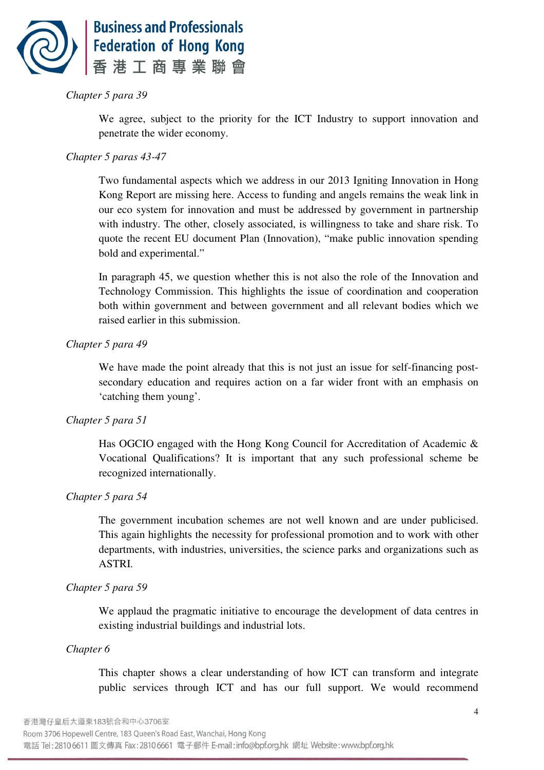

# *Chapter 5 para 39*

 We agree, subject to the priority for the ICT Industry to support innovation and penetrate the wider economy.

# *Chapter 5 paras 43-47*

 Two fundamental aspects which we address in our 2013 Igniting Innovation in Hong Kong Report are missing here. Access to funding and angels remains the weak link in our eco system for innovation and must be addressed by government in partnership with industry. The other, closely associated, is willingness to take and share risk. To quote the recent EU document Plan (Innovation), "make public innovation spending bold and experimental."

 In paragraph 45, we question whether this is not also the role of the Innovation and Technology Commission. This highlights the issue of coordination and cooperation both within government and between government and all relevant bodies which we raised earlier in this submission.

# *Chapter 5 para 49*

 We have made the point already that this is not just an issue for self-financing post- secondary education and requires action on a far wider front with an emphasis on 'catching them young'.

## *Chapter 5 para 51*

 Has OGCIO engaged with the Hong Kong Council for Accreditation of Academic & Vocational Qualifications? It is important that any such professional scheme be recognized internationally.

# *Chapter 5 para 54*

 The government incubation schemes are not well known and are under publicised. This again highlights the necessity for professional promotion and to work with other departments, with industries, universities, the science parks and organizations such as ASTRI.

# *Chapter 5 para 59*

 We applaud the pragmatic initiative to encourage the development of data centres in existing industrial buildings and industrial lots.

#### *Chapter 6*

 This chapter shows a clear understanding of how ICT can transform and integrate public services through ICT and has our full support. We would recommend